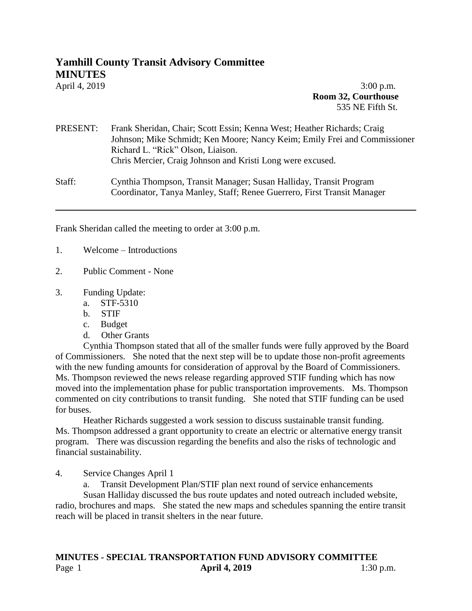## **Yamhill County Transit Advisory Committee**

**MINUTES**

April 4, 2019 **3:00 p.m. Room 32, Courthouse** 535 NE Fifth St.

## PRESENT: Frank Sheridan, Chair; Scott Essin; Kenna West; Heather Richards; Craig Johnson; Mike Schmidt; Ken Moore; Nancy Keim; Emily Frei and Commissioner Richard L. "Rick" Olson, Liaison. Chris Mercier, Craig Johnson and Kristi Long were excused.

Staff: Cynthia Thompson, Transit Manager; Susan Halliday, Transit Program Coordinator, Tanya Manley, Staff; Renee Guerrero, First Transit Manager

Frank Sheridan called the meeting to order at 3:00 p.m.

- 1. Welcome Introductions
- 2. Public Comment None
- 3. Funding Update:
	- a. STF-5310
	- b. STIF
	- c. Budget
	- d. Other Grants

Cynthia Thompson stated that all of the smaller funds were fully approved by the Board of Commissioners. She noted that the next step will be to update those non-profit agreements with the new funding amounts for consideration of approval by the Board of Commissioners. Ms. Thompson reviewed the news release regarding approved STIF funding which has now moved into the implementation phase for public transportation improvements. Ms. Thompson commented on city contributions to transit funding. She noted that STIF funding can be used for buses.

Heather Richards suggested a work session to discuss sustainable transit funding. Ms. Thompson addressed a grant opportunity to create an electric or alternative energy transit program. There was discussion regarding the benefits and also the risks of technologic and financial sustainability.

4. Service Changes April 1

a. Transit Development Plan/STIF plan next round of service enhancements

Susan Halliday discussed the bus route updates and noted outreach included website, radio, brochures and maps. She stated the new maps and schedules spanning the entire transit reach will be placed in transit shelters in the near future.